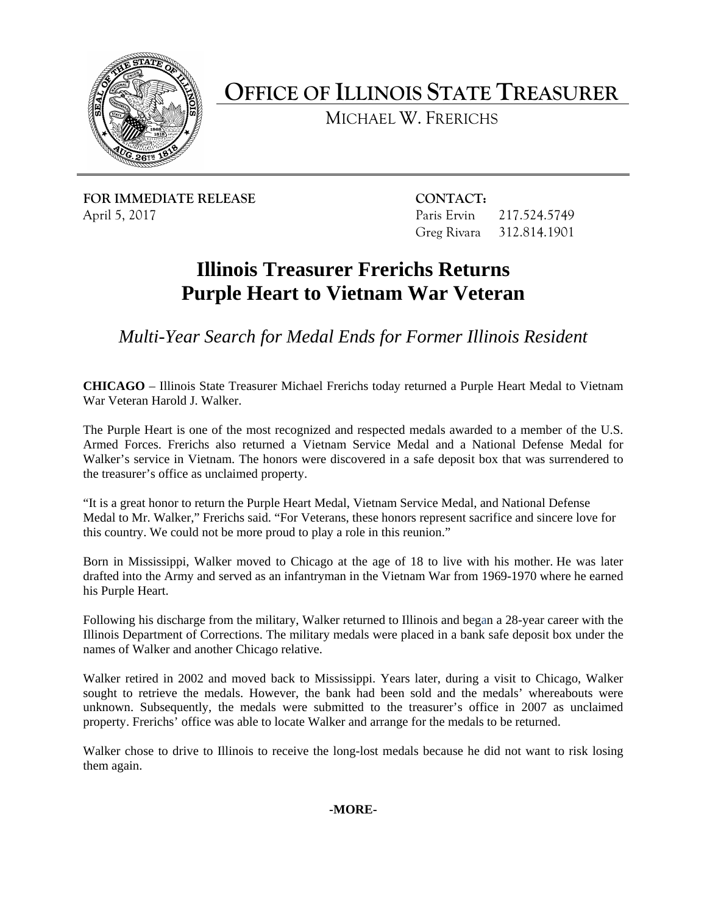

**OFFICE OF ILLINOIS STATE TREASURER**

MICHAEL W. FRERICHS

**FOR IMMEDIATE RELEASE CONTACT:** April 5, 2017 **Paris Ervin 217.524.5749** 

Greg Rivara 312.814.1901

## **Illinois Treasurer Frerichs Returns Purple Heart to Vietnam War Veteran**

*Multi-Year Search for Medal Ends for Former Illinois Resident* 

**CHICAGO** – Illinois State Treasurer Michael Frerichs today returned a Purple Heart Medal to Vietnam War Veteran Harold J. Walker.

The Purple Heart is one of the most recognized and respected medals awarded to a member of the U.S. Armed Forces. Frerichs also returned a Vietnam Service Medal and a National Defense Medal for Walker's service in Vietnam. The honors were discovered in a safe deposit box that was surrendered to the treasurer's office as unclaimed property.

"It is a great honor to return the Purple Heart Medal, Vietnam Service Medal, and National Defense Medal to Mr. Walker," Frerichs said. "For Veterans, these honors represent sacrifice and sincere love for this country. We could not be more proud to play a role in this reunion."

Born in Mississippi, Walker moved to Chicago at the age of 18 to live with his mother. He was later drafted into the Army and served as an infantryman in the Vietnam War from 1969-1970 where he earned his Purple Heart.

Following his discharge from the military, Walker returned to Illinois and began a 28-year career with the Illinois Department of Corrections. The military medals were placed in a bank safe deposit box under the names of Walker and another Chicago relative.

Walker retired in 2002 and moved back to Mississippi. Years later, during a visit to Chicago, Walker sought to retrieve the medals. However, the bank had been sold and the medals' whereabouts were unknown. Subsequently, the medals were submitted to the treasurer's office in 2007 as unclaimed property. Frerichs' office was able to locate Walker and arrange for the medals to be returned.

Walker chose to drive to Illinois to receive the long-lost medals because he did not want to risk losing them again.

**-MORE-**